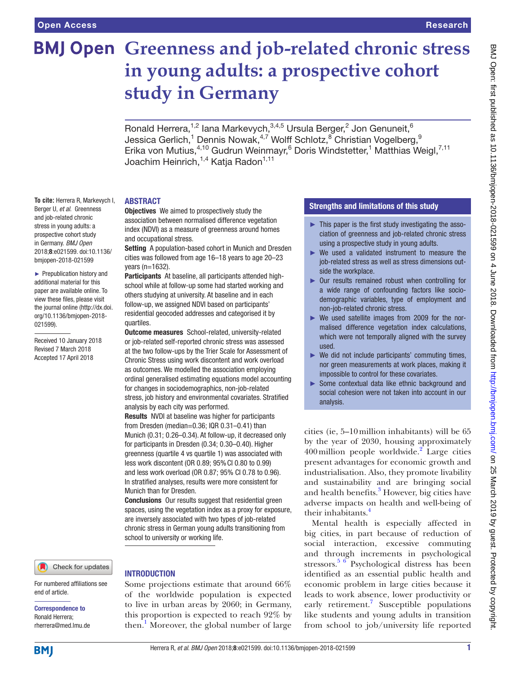**To cite:** Herrera R, Markevych I, Berger U, *et al*. Greenness and job-related chronic stress in young adults: a prospective cohort study in Germany. *BMJ Open* 2018;8:e021599. doi:10.1136/ bmjopen-2018-021599 ► Prepublication history and additional material for this paper are available online. To view these files, please visit the journal online [\(http://dx.doi.](http://dx.doi.org/10.1136/bmjopen-2018-021599) [org/10.1136/bmjopen-2018-](http://dx.doi.org/10.1136/bmjopen-2018-021599)

[021599\)](http://dx.doi.org/10.1136/bmjopen-2018-021599).

Received 10 January 2018 Revised 7 March 2018 Accepted 17 April 2018

# **BMJ Open Greenness and job-related chronic stress in young adults: a prospective cohort study in Germany**

Ronald Herrera,<sup>1,2</sup> Iana Markevych, $^{3,4,5}$  Ursula Berger, $^2$  Jon Genuneit, $^6$ Jessica Gerlich, $^1$  Dennis Nowak, $^{4,7}$  Wolff Schlotz, $^8$  Christian Vogelberg, $^9$ Erika von Mutius,<sup>4,10</sup> Gudrun Weinmayr,<sup>6</sup> Doris Windstetter,<sup>1</sup> Matthias Weigl,<sup>7,11</sup> Joachim Heinrich.<sup>1,4</sup> Katia Radon<sup>1,11</sup>

#### **ABSTRACT**

Objectives We aimed to prospectively study the association between normalised difference vegetation index (NDVI) as a measure of greenness around homes and occupational stress.

Setting A population-based cohort in Munich and Dresden cities was followed from age 16–18 years to age 20–23 years (n=1632).

Participants At baseline, all participants attended highschool while at follow-up some had started working and others studying at university. At baseline and in each follow-up, we assigned NDVI based on participants' residential geocoded addresses and categorised it by quartiles.

Outcome measures School-related, university-related or job-related self-reported chronic stress was assessed at the two follow-ups by the Trier Scale for Assessment of Chronic Stress using work discontent and work overload as outcomes. We modelled the association employing ordinal generalised estimating equations model accounting for changes in sociodemographics, non-job-related stress, job history and environmental covariates. Stratified analysis by each city was performed.

Results NVDI at baseline was higher for participants from Dresden (median=0.36; IQR 0.31–0.41) than Munich (0.31; 0.26–0.34). At follow-up, it decreased only for participants in Dresden (0.34; 0.30–0.40). Higher greenness (quartile 4 vs quartile 1) was associated with less work discontent (OR 0.89; 95% CI 0.80 to 0.99) and less work overload (OR 0.87; 95% CI 0.78 to 0.96). In stratified analyses, results were more consistent for Munich than for Dresden.

Conclusions Our results suggest that residential green spaces, using the vegetation index as a proxy for exposure, are inversely associated with two types of job-related chronic stress in German young adults transitioning from school to university or working life.

#### Check for updates

For numbered affiliations see end of article.

#### Correspondence to Ronald Herrera; rherrera@med.lmu.de

# **INTRODUCTION**

Some projections estimate that around 66% of the worldwide population is expected to live in urban areas by 2060; in Germany, this proportion is expected to reach 92% by then.<sup>[1](#page-10-0)</sup> Moreover, the global number of large

# Strengths and limitations of this study

- $\blacktriangleright$  This paper is the first study investigating the association of greenness and job-related chronic stress using a prospective study in young adults.
- ► We used a validated instrument to measure the job-related stress as well as stress dimensions outside the workplace.
- ► Our results remained robust when controlling for a wide range of confounding factors like sociodemographic variables, type of employment and non-job-related chronic stress.
- ► We used satellite images from 2009 for the normalised difference vegetation index calculations, which were not temporally aligned with the survey used.
- $\triangleright$  We did not include participants' commuting times, nor green measurements at work places, making it impossible to control for these covariates.
- ► Some contextual data like ethnic background and social cohesion were not taken into account in our analysis.

cities (ie, 5–10million inhabitants) will be 65 by the year of 2030, housing approximately  $400$  million people worldwide.<sup>[2](#page-10-1)</sup> Large cities present advantages for economic growth and industrialisation. Also, they promote livability and sustainability and are bringing social and health benefits.<sup>3</sup> However, big cities have adverse impacts on health and well-being of their inhabitants.<sup>4</sup>

Mental health is especially affected in big cities, in part because of reduction of social interaction, excessive commuting and through increments in psychological stressors.<sup>5 6</sup> Psychological distress has been identified as an essential public health and economic problem in large cities because it leads to work absence, lower productivity or early retirement.<sup>[7](#page-10-5)</sup> Susceptible populations like students and young adults in transition from school to job/university life reported

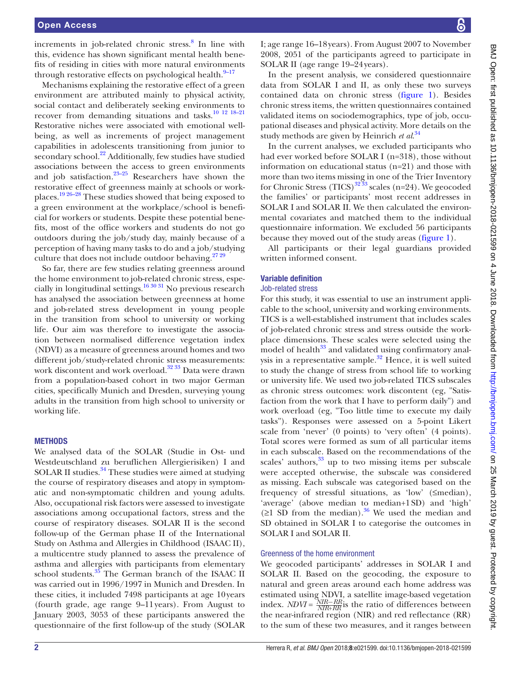increments in job-related chronic stress.<sup>[8](#page-10-6)</sup> In line with this, evidence has shown significant mental health benefits of residing in cities with more natural environments through restorative effects on psychological health. $9-17$ 

Mechanisms explaining the restorative effect of a green environment are attributed mainly to physical activity, social contact and deliberately seeking environments to recover from demanding situations and tasks.[10 12 18–21](#page-10-8) Restorative niches were associated with emotional wellbeing, as well as increments of project management capabilities in adolescents transitioning from junior to secondary school.<sup>[22](#page-10-9)</sup> Additionally, few studies have studied associations between the access to green environments and job satisfaction. $23-25$  Researchers have shown the restorative effect of greenness mainly at schools or workplaces.[19 26–28](#page-10-11) These studies showed that being exposed to a green environment at the workplace/school is beneficial for workers or students. Despite these potential benefits, most of the office workers and students do not go outdoors during the job/study day, mainly because of a perception of having many tasks to do and a job/studying culture that does not include outdoor behaving. $27\frac{29}{29}$ 

So far, there are few studies relating greenness around the home environment to job-related chronic stress, especially in longitudinal settings.<sup>16 30 31</sup> No previous research has analysed the association between greenness at home and job-related stress development in young people in the transition from school to university or working life. Our aim was therefore to investigate the association between normalised difference vegetation index (NDVI) as a measure of greenness around homes and two different job/study-related chronic stress measurements: work discontent and work overload.<sup>32</sup> <sup>33</sup> Data were drawn from a population-based cohort in two major German cities, specifically Munich and Dresden, surveying young adults in the transition from high school to university or working life.

#### **METHODS**

We analysed data of the SOLAR (Studie in Ost- und Westdeutschland zu beruflichen Allergierisiken) I and SOLAR II studies.<sup>34</sup> These studies were aimed at studying the course of respiratory diseases and atopy in symptomatic and non-symptomatic children and young adults. Also, occupational risk factors were assessed to investigate associations among occupational factors, stress and the course of respiratory diseases. SOLAR II is the second follow-up of the German phase II of the International Study on Asthma and Allergies in Childhood (ISAAC II), a multicentre study planned to assess the prevalence of asthma and allergies with participants from elementary school students.<sup>35</sup> The German branch of the ISAAC II was carried out in 1996/1997 in Munich and Dresden. In these cities, it included 7498 participants at age 10years (fourth grade, age range 9–11years). From August to January 2003, 3053 of these participants answered the questionnaire of the first follow-up of the study (SOLAR

I; age range 16–18years). From August 2007 to November 2008, 2051 of the participants agreed to participate in SOLAR II (age range 19–24years).

In the present analysis, we considered questionnaire data from SOLAR I and II, as only these two surveys contained data on chronic stress [\(figure](#page-2-0) 1). Besides chronic stress items, the written questionnaires contained validated items on sociodemographics, type of job, occupational diseases and physical activity. More details on the study methods are given by Heinrich *et al*. [34](#page-10-15)

In the current analyses, we excluded participants who had ever worked before SOLAR I (n=318), those without information on educational status (n=21) and those with more than two items missing in one of the Trier Inventory for Chronic Stress (TICS)<sup>32 33</sup> scales (n=24). We geocoded the families' or participants' most recent addresses in SOLAR I and SOLAR II. We then calculated the environmental covariates and matched them to the individual questionnaire information. We excluded 56 participants because they moved out of the study areas [\(figure](#page-2-0) 1).

All participants or their legal guardians provided written informed consent.

# Variable definition

# Job-related stress

For this study, it was essential to use an instrument applicable to the school, university and working environments. TICS is a well-established instrument that includes scales of job-related chronic stress and stress outside the workplace dimensions. These scales were selected using the model of health $33$  and validated using confirmatory analysis in a representative sample. $32$  Hence, it is well suited to study the change of stress from school life to working or university life. We used two job-related TICS subscales as chronic stress outcomes: work discontent (eg, "Satisfaction from the work that I have to perform daily") and work overload (eg, "Too little time to execute my daily tasks"). Responses were assessed on a 5-point Likert scale from 'never' (0 points) to 'very often' (4 points). Total scores were formed as sum of all particular items in each subscale. Based on the recommendations of the scales' authors, $33$  up to two missing items per subscale were accepted otherwise, the subscale was considered as missing. Each subscale was categorised based on the frequency of stressful situations, as 'low' (≤median), 'average' (above median to median+1SD) and 'high'  $(≥1$  SD from the median).<sup>36</sup> We used the median and SD obtained in SOLAR I to categorise the outcomes in SOLAR I and SOLAR II.

# Greenness of the home environment

We geocoded participants' addresses in SOLAR I and SOLAR II. Based on the geocoding, the exposure to natural and green areas around each home address was estimated using NDVI, a satellite image-based vegetation index. *NDVI* = *NIR−RR NIR*+*RR* is the ratio of differences between the near-infrared region (NIR) and red reflectance (RR) to the sum of these two measures, and it ranges between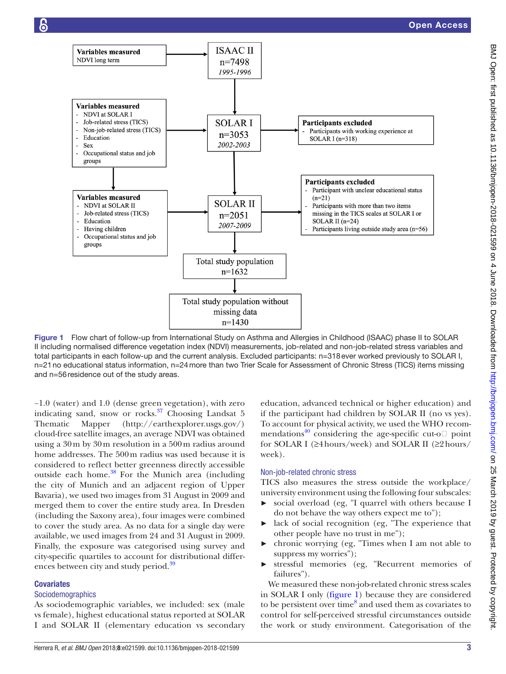



<span id="page-2-0"></span>Figure 1 Flow chart of follow-up from International Study on Asthma and Allergies in Childhood (ISAAC) phase II to SOLAR II including normalised difference vegetation index (NDVI) measurements, job-related and non-job-related stress variables and total participants in each follow-up and the current analysis. Excluded participants: n=318ever worked previously to SOLAR I, n=21no educational status information, n=24more than two Trier Scale for Assessment of Chronic Stress (TICS) items missing and n=56residence out of the study areas.

−1.0 (water) and 1.0 (dense green vegetation), with zero indicating sand, snow or rocks. $37$  Choosing Landsat 5 Thematic Mapper ([http://earthexplorer.usgs.gov/\)](http://earthexplorer.usgs.gov/) cloud-free satellite images, an average NDVI was obtained using a 30m by 30m resolution in a 500m radius around home addresses. The 500m radius was used because it is considered to reflect better greenness directly accessible outside each home.<sup>38</sup> For the Munich area (including the city of Munich and an adjacent region of Upper Bavaria), we used two images from 31 August in 2009 and merged them to cover the entire study area. In Dresden (including the Saxony area), four images were combined to cover the study area. As no data for a single day were available, we used images from 24 and 31 August in 2009. Finally, the exposure was categorised using survey and city-specific quartiles to account for distributional differences between city and study period.<sup>39</sup>

# **Covariates**

#### Sociodemographics

As sociodemographic variables, we included: sex (male vs female), highest educational status reported at SOLAR I and SOLAR II (elementary education vs secondary education, advanced technical or higher education) and if the participant had children by SOLAR II (no vs yes). To account for physical activity, we used the WHO recommendations<sup>40</sup> considering the age-specific cut-o $\Box$  point for SOLAR I (≥4hours/week) and SOLAR II (≥2hours/ week).

### Non-job-related chronic stress

TICS also measures the stress outside the workplace/ university environment using the following four subscales:

- social overload (eg, "I quarrel with others because I do not behave the way others expect me to");
- lack of social recognition (eg, "The experience that other people have no trust in me");
- ► chronic worrying (eg, "Times when I am not able to suppress my worries");
- stressful memories (eg, "Recurrent memories of failures").

We measured these non-job-related chronic stress scales in SOLAR I only [\(figure](#page-2-0) 1) because they are considered to be persistent over time<sup>[8](#page-10-6)</sup> and used them as covariates to control for self-perceived stressful circumstances outside the work or study environment. Categorisation of the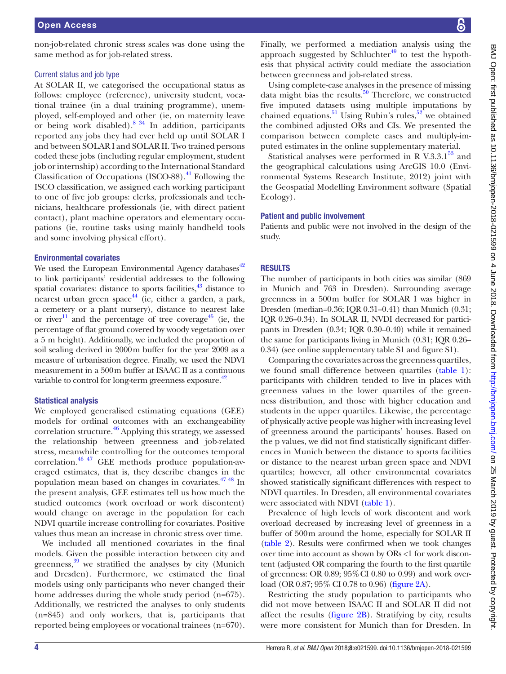non-job-related chronic stress scales was done using the same method as for job-related stress.

#### Current status and job type

At SOLAR II, we categorised the occupational status as follows: employee (reference), university student, vocational trainee (in a dual training programme), unemployed, self-employed and other (ie, on maternity leave or being work disabled)[.8 34](#page-10-6) In addition, participants reported any jobs they had ever held up until SOLAR I and between SOLAR I and SOLAR II. Two trained persons coded these jobs (including regular employment, student job or internship) according to the International Standard Classification of Occupations  $(ISCO-88)$ .<sup>41</sup> Following the ISCO classification, we assigned each working participant to one of five job groups: clerks, professionals and technicians, healthcare professionals (ie, with direct patient contact), plant machine operators and elementary occupations (ie, routine tasks using mainly handheld tools and some involving physical effort).

#### Environmental covariates

We used the European Environmental Agency databases<sup>[42](#page-10-24)</sup> to link participants' residential addresses to the following spatial covariates: distance to sports facilities, $43$  distance to nearest urban green space $^{44}$  (ie, either a garden, a park, a cemetery or a plant nursery), distance to nearest lake or river<sup>11</sup> and the percentage of tree coverage<sup>45</sup> (ie, the percentage of flat ground covered by woody vegetation over a 5 m height). Additionally, we included the proportion of soil sealing derived in 2000m buffer for the year 2009 as a measure of urbanisation degree. Finally, we used the NDVI measurement in a 500m buffer at ISAAC II as a continuous variable to control for long-term greenness exposure.<sup>42</sup>

### Statistical analysis

We employed generalised estimating equations (GEE) models for ordinal outcomes with an exchangeability correlation structure.[46](#page-10-29) Applying this strategy, we assessed the relationship between greenness and job-related stress, meanwhile controlling for the outcomes temporal correlation.[46 47](#page-10-29) GEE methods produce population-averaged estimates, that is, they describe changes in the population mean based on changes in covariates.[47 48](#page-10-30) In the present analysis, GEE estimates tell us how much the studied outcomes (work overload or work discontent) would change on average in the population for each NDVI quartile increase controlling for covariates. Positive values thus mean an increase in chronic stress over time.

We included all mentioned covariates in the final models. Given the possible interaction between city and greenness,<sup>[39](#page-10-21)</sup> we stratified the analyses by city (Munich and Dresden). Furthermore, we estimated the final models using only participants who never changed their home addresses during the whole study period (n=675). Additionally, we restricted the analyses to only students (n=845) and only workers, that is, participants that reported being employees or vocational trainees (n=670).

Finally, we performed a mediation analysis using the approach suggested by Schluchter $49$  to test the hypothesis that physical activity could mediate the association between greenness and job-related stress.

Using complete-case analyses in the presence of missing data might bias the results.<sup>50</sup> Therefore, we constructed five imputed datasets using multiple imputations by chained equations.<sup>[51](#page-10-33)</sup> Using Rubin's rules,<sup>52</sup> we obtained the combined adjusted ORs and CIs. We presented the comparison between complete cases and multiply-imputed estimates in the online [supplementary material.](https://dx.doi.org/10.1136/bmjopen-2018-021599)

Statistical analyses were performed in R V.3.3.1 $<sup>53</sup>$  and</sup> the geographical calculations using ArcGIS 10.0 (Environmental Systems Research Institute, 2012) joint with the Geospatial Modelling Environment software (Spatial Ecology).

### Patient and public involvement

Patients and public were not involved in the design of the study.

# **RESULTS**

The number of participants in both cities was similar (869 in Munich and 763 in Dresden). Surrounding average greenness in a 500m buffer for SOLAR I was higher in Dresden (median=0.36; IQR 0.31–0.41) than Munich (0.31; IQR 0.26–0.34). In SOLAR II, NVDI decreased for participants in Dresden (0.34; IQR 0.30–0.40) while it remained the same for participants living in Munich (0.31; IQR 0.26– 0.34) (see online [supplementary table S1 and figure S1\)](https://dx.doi.org/10.1136/bmjopen-2018-021599).

Comparing the covariates across the greenness quartiles, we found small difference between quartiles ([table](#page-4-0) 1): participants with children tended to live in places with greenness values in the lower quartiles of the greenness distribution, and those with higher education and students in the upper quartiles. Likewise, the percentage of physically active people was higher with increasing level of greenness around the participants' houses. Based on the p values, we did not find statistically significant differences in Munich between the distance to sports facilities or distance to the nearest urban green space and NDVI quartiles; however, all other environmental covariates showed statistically significant differences with respect to NDVI quartiles. In Dresden, all environmental covariates were associated with NDVI [\(table](#page-4-0) 1).

Prevalence of high levels of work discontent and work overload decreased by increasing level of greenness in a buffer of 500m around the home, especially for SOLAR II [\(table](#page-6-0) 2). Results were confirmed when we took changes over time into account as shown by ORs <1 for work discontent (adjusted OR comparing the fourth to the first quartile of greenness: OR 0.89; 95%CI 0.80 to 0.99) and work overload (OR 0.87; 95% CI 0.78 to 0.96) [\(figure](#page-7-0) 2A).

Restricting the study population to participants who did not move between ISAAC II and SOLAR II did not affect the results [\(figure](#page-7-0) 2B). Stratifying by city, results were more consistent for Munich than for Dresden. In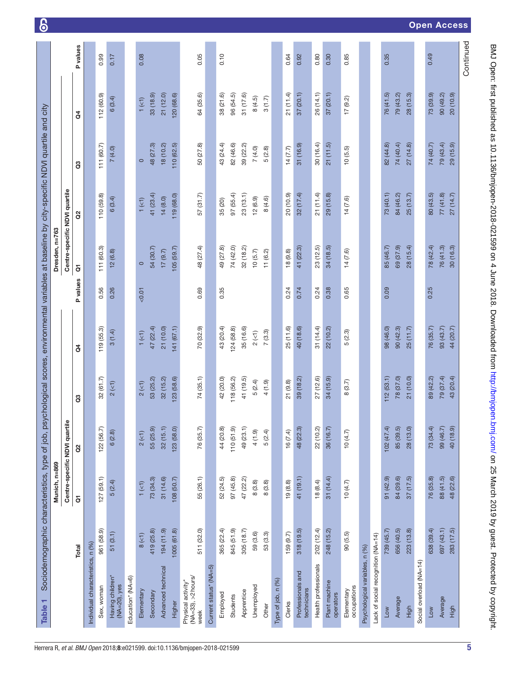<span id="page-4-0"></span>

| Table 1                                                    | Sociodemographic characteristics, type of job, psychological scores, environmental variables at baseline by city-specific NDVI quartile and city |                        |                               |                        |                        |                 |                               |                      |                       |                        |           |
|------------------------------------------------------------|--------------------------------------------------------------------------------------------------------------------------------------------------|------------------------|-------------------------------|------------------------|------------------------|-----------------|-------------------------------|----------------------|-----------------------|------------------------|-----------|
|                                                            |                                                                                                                                                  | Munich, n=869          |                               |                        |                        |                 | Dresden, n=763                |                      |                       |                        |           |
|                                                            |                                                                                                                                                  |                        | Centre-specific NDVI quartile |                        |                        |                 | Centre-specific NDVI quartile |                      |                       |                        |           |
|                                                            | Total                                                                                                                                            | $\overline{\sigma}$    | 8                             | ဗွ                     | ð                      | <b>P</b> values | $\overline{6}$                | 8                    | 3                     | ठै                     | P values  |
| Individual characteristics,                                | . n $(%)$                                                                                                                                        |                        |                               |                        |                        |                 |                               |                      |                       |                        |           |
| Sex, woman                                                 | 961 (58.9)                                                                                                                                       | 127 (59.1)             | 122(56.7)                     | 32 (61.7)              | 119 (55.3)             | 0.56            | 111 (60.3)                    | 110 (59.8)           | 111 (60.7)            | 112 (60.9)             | 0.99      |
| Having children*<br>$(MA=20)$ , yes                        | 51(3.1)                                                                                                                                          | 5(2.4)                 | 6(2.8)                        | 2(1)                   | 3(1.4)                 | 0.26            | 12(6.8)                       | 6(3.4)               | 7(4.0)                | 6(3.4)                 | 0.17      |
| Education* (NA=6)                                          |                                                                                                                                                  |                        |                               |                        |                        |                 |                               |                      |                       |                        |           |
| Elementary                                                 | $8$ (<1)                                                                                                                                         | $1($ $<$ $1)$          | 2(51)                         | $2($ (<1)              | $1($ 1)                | < 0.01          | $\circ$                       | $1($ $<$ $\!1)$      | $\circ$               | $1($ < 1)              | 0.08      |
| Secondary                                                  | 419 (25.8)                                                                                                                                       | 73 (34.3)              | 55 (25.9)                     | 53 (25.2)              | 47 (22.4)              |                 | 54 (30.7)                     | 41 (23.4)            | 48 (27.3)             | 33 (18.9)              |           |
| Advanced technical                                         | 194 (11.9)                                                                                                                                       | 31 (14.6)              | 32(15.1)                      | 32(15.2)               | 21 (10.0)              |                 | 17(9.7)                       | 14(8.0)              | 18 (10.2)             | 21 (12.0)              |           |
| Higher                                                     | 1005(61.8)                                                                                                                                       | 108(50.7)              | 123(58.0)                     | 123 (58.6)             | 141(67.1)              |                 | 105(59.7)                     | 119 (68.0)           | 110(62.5)             | 120(68.6)              |           |
| ( $N\AA = 33$ ), $>2$ hours/<br>Physical activity*<br>week | 511 (32.0)                                                                                                                                       | 55 (26.1)              | 76 (35.7)                     | 74 (35.1)              | 70 (32.9)              | 0.69            | 48 (27.4)                     | 57 (31.7)            | 50 (27.8)             | 64 (35.6)              | 0.05      |
| Current status* (NA=5)                                     |                                                                                                                                                  |                        |                               |                        |                        |                 |                               |                      |                       |                        |           |
| Employed                                                   | 365 (22.4)                                                                                                                                       | 52 (24.5)              | 44 (20.8)                     | 42 (20.0)              | 43 (20.4)              | 0.35            | 49 (27.8)                     | 35 (20)              | 43 (24.4)             | 38 (21.6)              | 0.10      |
| <b>Students</b>                                            | 845 (51.9)                                                                                                                                       | 97(45.8)               | 110(51.9)                     | 118 (56.2)             | 124 (58.8)             |                 | 74 (42.0)                     | 97(55.4)             | 82 (46.6)             | 96 (54.5)              |           |
| Apprentice                                                 | 305(18.7)                                                                                                                                        | 47 (22.2)              | 49 (23.1)                     | 41 (19.5)              | 35 (16.6)              |                 | 32 (18.2)                     | 23(13.1)             | 39 (22.2)             | 31 (17.6)              |           |
| Unemployed                                                 | 59 (3.6)                                                                                                                                         | 8(3.8)                 | 4(1.9)                        | 5 (2.4)                | $2\;(\leq\!1)$         |                 | 10(5.7)                       | 12(6.9)              | 7(4.0)                | 8(4.5)                 |           |
| Other                                                      | 53 (3.3)                                                                                                                                         | 8(3.8)                 | 5(2.4)                        | 4(1.9)                 | 7(3.3)                 |                 | 11(6.2)                       | 8(4.6)               | 5(2.8)                | 3(1.7)                 |           |
| Type of job, n (%)                                         |                                                                                                                                                  |                        |                               |                        |                        |                 |                               |                      |                       |                        |           |
| Clerks                                                     | 159 (9.7)                                                                                                                                        | 19(8.8)                | 16 (7.4)                      | 21(9.8)                | 25 (11.6)              | 0.24            | 18(9.8)                       | 20(10.9)             | 14(7.7)               | 21(11.4)               | 0.64      |
| Professionals and<br>technicians                           | 318 (19.5)                                                                                                                                       | 41 (19.1)              | 48 (22.3)                     | 39 (18.2)              | 40 (18.6)              | 0.74            | 41 (22.3)                     | 32 (17.4)            | 31 (16.9)             | 37(20.1)               | 0.92      |
| Health professionals                                       | 202 (12.4)                                                                                                                                       | 18(8.4)                | 22 (10.2)                     | 27(12.6)               | 31 (14.4)              | 0.24            | 23 (12.5)                     | 21(11.4)             | 30 (16.4)             | 26 (14.1)              | 0.80      |
| Plant machine<br>operators                                 | 248 (15.2)                                                                                                                                       | 31 (14.4)              | 36 (16.7)                     | 34 (15.9)              | 22(10.2)               | 0.38            | 34(18.5)                      | 29(15.8)             | 21(11.5)              | 37(20.1)               | 0.30      |
| occupations<br>Elementary                                  | 90 (5.5)                                                                                                                                         | 10(4.7)                | 10(4.7)                       | 8(3.7)                 | 5(2.3)                 | 0.65            | 14(7.6)                       | 14(7.6)              | 10(5.5)               | 17(9.2)                | 0.85      |
| Psychological variables, n (%)                             |                                                                                                                                                  |                        |                               |                        |                        |                 |                               |                      |                       |                        |           |
| Lack of social recognition (NA=14)                         |                                                                                                                                                  |                        |                               |                        |                        |                 |                               |                      |                       |                        |           |
| Low                                                        | 739 (45.7)                                                                                                                                       | 91 (42.9)              | 102(47.4)                     | 112(53.1)              | 98 (46.0)              | 0.09            | 85 (46.7)                     | 73 (40.1)            | 82 (44.8)             | 76 (41.5)              | 0.35      |
| Average                                                    | 656 (40.5)                                                                                                                                       | 84 (39.6)              | 85 (39.5)                     | 78 (37.0)              | 90 (42.3)              |                 | 69 (37.9)                     | 84 (46.2)            | 74 (40.4)             | 79 (43.2)              |           |
| High                                                       | 223 (13.8)                                                                                                                                       | 37(17.5)               | 28(13.0)                      | 21 (10.0)              | 25(11.7)               |                 | 28(15.4)                      | 25 (13.7)            | 27(14.8)              | 28(15.3)               |           |
| Social overload (NA=14)                                    |                                                                                                                                                  |                        |                               |                        |                        |                 |                               |                      |                       |                        |           |
| Low                                                        | 638 (39.4)                                                                                                                                       | 76 (35.8)              | 73(34.4)                      | 89 (42.2)              | 76 (35.7)              | 0.25            | 78 (42.4)                     | 80 (43.5)            | 74 (40.7)             | 73(39.9)               | 0.49      |
| Average<br>High                                            | 697 (43.1)<br>283 (17.5)                                                                                                                         | 88 (41.5)<br>48 (22.6) | 99 (46.7)<br>40 (18.9)        | 79 (37.4)<br>43 (20.4) | 93 (43.7)<br>44 (20.7) |                 | 30(16.3)<br>76(41.3)          | 77(41.8)<br>27(14.7) | 79 (43.4)<br>29(15.9) | 90 (49.2)<br>20 (10.9) |           |
|                                                            |                                                                                                                                                  |                        |                               |                        |                        |                 |                               |                      |                       |                        | Continued |

**6** 

Open Access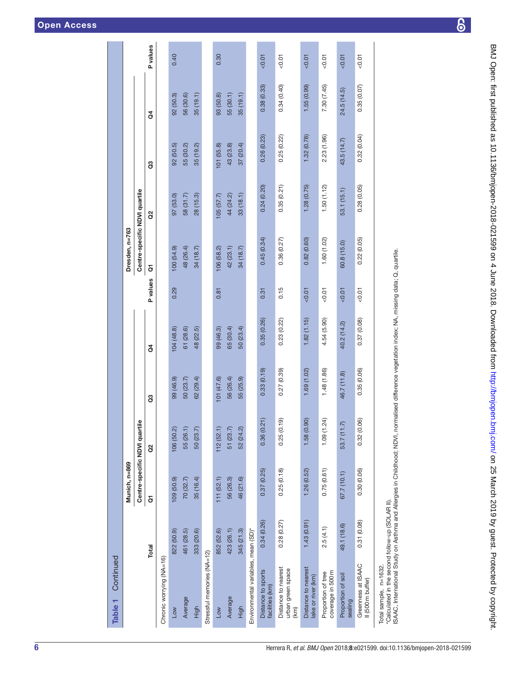| Ì                                                                                                                                                                                                                              |
|--------------------------------------------------------------------------------------------------------------------------------------------------------------------------------------------------------------------------------|
|                                                                                                                                                                                                                                |
| , prihlished as 10 11,8,7,731,7722,701,8-001,7200 77 A                                                                                                                                                                         |
|                                                                                                                                                                                                                                |
|                                                                                                                                                                                                                                |
|                                                                                                                                                                                                                                |
|                                                                                                                                                                                                                                |
|                                                                                                                                                                                                                                |
|                                                                                                                                                                                                                                |
|                                                                                                                                                                                                                                |
|                                                                                                                                                                                                                                |
|                                                                                                                                                                                                                                |
|                                                                                                                                                                                                                                |
|                                                                                                                                                                                                                                |
|                                                                                                                                                                                                                                |
|                                                                                                                                                                                                                                |
|                                                                                                                                                                                                                                |
|                                                                                                                                                                                                                                |
|                                                                                                                                                                                                                                |
|                                                                                                                                                                                                                                |
|                                                                                                                                                                                                                                |
|                                                                                                                                                                                                                                |
|                                                                                                                                                                                                                                |
|                                                                                                                                                                                                                                |
|                                                                                                                                                                                                                                |
|                                                                                                                                                                                                                                |
|                                                                                                                                                                                                                                |
|                                                                                                                                                                                                                                |
|                                                                                                                                                                                                                                |
|                                                                                                                                                                                                                                |
|                                                                                                                                                                                                                                |
|                                                                                                                                                                                                                                |
|                                                                                                                                                                                                                                |
| -<br> -<br> -<br> -<br> -<br> -                                                                                                                                                                                                |
|                                                                                                                                                                                                                                |
|                                                                                                                                                                                                                                |
|                                                                                                                                                                                                                                |
|                                                                                                                                                                                                                                |
|                                                                                                                                                                                                                                |
|                                                                                                                                                                                                                                |
|                                                                                                                                                                                                                                |
|                                                                                                                                                                                                                                |
|                                                                                                                                                                                                                                |
|                                                                                                                                                                                                                                |
| - 1000 DADROILMON OF DEALER ALLO DI DE A 110 GGC 170-01-01220 DI HONO DI CE DO DE DE DE DE DE DE DE DE DE DE D                                                                                                                 |
|                                                                                                                                                                                                                                |
|                                                                                                                                                                                                                                |
|                                                                                                                                                                                                                                |
|                                                                                                                                                                                                                                |
|                                                                                                                                                                                                                                |
|                                                                                                                                                                                                                                |
|                                                                                                                                                                                                                                |
|                                                                                                                                                                                                                                |
|                                                                                                                                                                                                                                |
|                                                                                                                                                                                                                                |
|                                                                                                                                                                                                                                |
| is the structure of the structure of the structure of the structure of the structure of the structure of the structure of the structure of the structure of the structure of the structure of the structure of the structure o |
| I                                                                                                                                                                                                                              |
|                                                                                                                                                                                                                                |
|                                                                                                                                                                                                                                |
|                                                                                                                                                                                                                                |
|                                                                                                                                                                                                                                |
|                                                                                                                                                                                                                                |
|                                                                                                                                                                                                                                |
|                                                                                                                                                                                                                                |
|                                                                                                                                                                                                                                |
|                                                                                                                                                                                                                                |
|                                                                                                                                                                                                                                |
|                                                                                                                                                                                                                                |
|                                                                                                                                                                                                                                |
|                                                                                                                                                                                                                                |
|                                                                                                                                                                                                                                |
|                                                                                                                                                                                                                                |
| <b>CHINE CITY CHINESES AND LOT DECEMBER 2015</b>                                                                                                                                                                               |
| Ì                                                                                                                                                                                                                              |
|                                                                                                                                                                                                                                |
|                                                                                                                                                                                                                                |
|                                                                                                                                                                                                                                |
|                                                                                                                                                                                                                                |

| Table 1 Continued                                |             |                              |             |             |             |          |                               |             |             |             |          |
|--------------------------------------------------|-------------|------------------------------|-------------|-------------|-------------|----------|-------------------------------|-------------|-------------|-------------|----------|
|                                                  |             | Munich, n=869                |             |             |             |          | Dresden, n=763                |             |             |             |          |
|                                                  |             | Centre-specific NDVI quartil | $\bullet$   |             |             |          | Centre-specific NDVI quartile |             |             |             |          |
|                                                  | Total       | ā                            | ဗွ          | 8           | đ           | P values | $\overline{6}$                | 8           | c3          | ð           | P values |
| Chronic worrying (NA=16)                         |             |                              |             |             |             |          |                               |             |             |             |          |
| <b>NOT</b>                                       | 822 (50.9)  | 109 (50.9)                   | 106 (50.2)  | 99 (46.9)   | 104 (48.8)  | 0.29     | 100(54.9)                     | 97 (53.0)   | 92(50.5)    | 92(50.3)    | 0.40     |
| Average                                          | 461 (28.5)  | 70 (32.7)                    | 55 (26.1)   | 50 (23.7)   | 61 (28.6)   |          | 48 (26.4)                     | 58 (31.7)   | 55 (30.2)   | 56 (30.6)   |          |
| High                                             | 333 (20.6)  | 35(16.4)                     | 50 (23.7)   | 62 (29.4)   | 48 (22.5)   |          | 34(18.7)                      | 28 (15.3)   | 35(19.2)    | 35(19.1)    |          |
| Stressful memories (NA=12)                       |             |                              |             |             |             |          |                               |             |             |             |          |
| Low                                              | 852 (52.6)  | 111(52.1)                    | 112(52.1)   | 101 (47.6)  | 99 (46.3)   | 0.81     | 106 (58.2)                    | 105(57.7)   | 101(55.8)   | 93 (50.8)   | 0.30     |
| Average                                          | 423 (26.1)  | 56 (26.3)                    | 51 (23.7)   | 56 (26.4)   | 65 (30.4)   |          | 42 (23.1)                     | 44 (24.2)   | 43 (23.8)   | 55 (30.1)   |          |
| High                                             | 345 (21.3)  | 46 (21.6)                    | 52 (24.2)   | 55 (25.9)   | 50 (23.4)   |          | 34 (18.7)                     | 33(18.1)    | 37 (20.4)   | 35(19.1)    |          |
| Environmental variables, mean (SD)*              |             |                              |             |             |             |          |                               |             |             |             |          |
| Distance to sports<br>facilities (km)            | 0.34(0.26)  | 0.37(0.25)                   | 0.36(0.21)  | 0.33(0.19)  | 0.35(0.26)  | 0.31     | 0.45(0.34)                    | 0.24(0.20)  | 0.26(0.23)  | 0.38(0.33)  | 10.07    |
| Distance to nearest<br>urban green space<br>(km) | 0.28(0.27)  | 0.25(0.18)                   | 0.25(0.19)  | 0.27(0.39)  | 0.23(0.22)  | 0.15     | 0.36(0.27)                    | 0.35(0.21)  | 0.25(0.22)  | 0.34(0.40)  | 0.01     |
| Distance to nearest<br>lake or river (km)        | 1.43(0.91)  | 1.26 (0.52)                  | 1.58 (0.90) | 1.69(1.02)  | 1.82(1.15)  | $-0.01$  | 0.82(0.60)                    | 1.28(0.75)  | 1.32(0.78)  | 1.55(0.99)  | 0.07     |
| coverage in 500m<br>Proportion of tree           | 2.5(4.1)    | 0.75(0.61)                   | 1.09(1.24)  | 1.48(1.86)  | 4.54 (5.90) | $-0.01$  | 1.60(1.02)                    | 1.50(1.12)  | 2.23 (1.96) | 7.30 (7.45) | 0.07     |
| Proportion of soil<br>sealing                    | 49.1 (18.6) | 67.7 (10.1)                  | 53.7 (11.7) | 46.7 (11.8) | 40.2 (14.2) | $-0.01$  | 60.8 (15.0)                   | 53.1 (15.1) | 43.5 (14.7) | 24.5 (14.5) | 0.01     |
| Greenness at ISAAC<br>II (500 m buffer)          | 0.31 (0.08) | 0.30 (0.06)                  | 0.32(0.06)  | 0.35(0.06)  | 0.37 (0.08) | $-0.07$  | 0.22(0.05)                    | 0.28(0.05)  | 0.32(0.04)  | 0.35(0.07)  | 0.07     |
| Total cample of 622                              |             |                              |             |             |             |          |                               |             |             |             |          |

Total sample, n=1632. \*Calculated in the second follow-up (SOLAR II).

Total sample, n=1632.<br>\*Calculated in the second follow-up (SOLAR II).<br>ISAAC, International Study on Asthma and Allergies in Childhood; NDVI, normalised difference vegetation index; NA, missing data; Q, quartile. ISAAC, International Study on Asthma and Allergies in Childhood; NDVI, normalised difference vegetation index; NA, missing data; Q, quartile.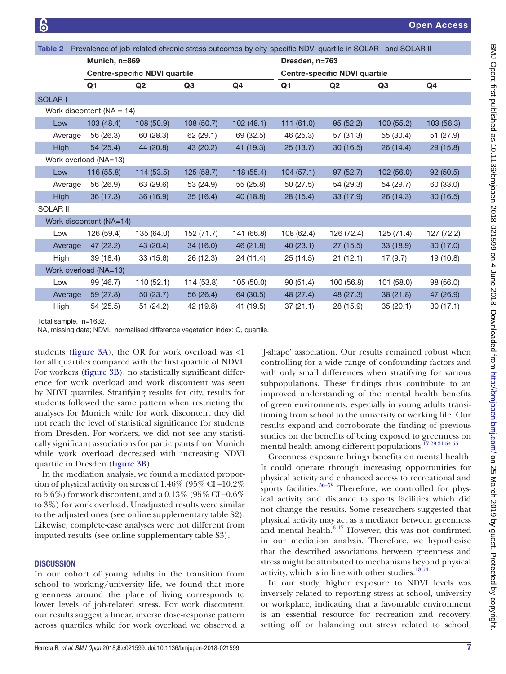<span id="page-6-0"></span>

| Table 2         |                               |                                      |                |                |                |                                      | Prevalence of job-related chronic stress outcomes by city-specific NDVI quartile in SOLAR I and SOLAR II |            |
|-----------------|-------------------------------|--------------------------------------|----------------|----------------|----------------|--------------------------------------|----------------------------------------------------------------------------------------------------------|------------|
|                 | Munich, n=869                 |                                      |                |                | Dresden, n=763 |                                      |                                                                                                          |            |
|                 |                               | <b>Centre-specific NDVI quartile</b> |                |                |                | <b>Centre-specific NDVI quartile</b> |                                                                                                          |            |
|                 | Q <sub>1</sub>                | Q <sub>2</sub>                       | Q <sub>3</sub> | Q <sub>4</sub> | Q <sub>1</sub> | Q <sub>2</sub>                       | Q3                                                                                                       | Q4         |
| <b>SOLARI</b>   |                               |                                      |                |                |                |                                      |                                                                                                          |            |
|                 | Work discontent ( $NA = 14$ ) |                                      |                |                |                |                                      |                                                                                                          |            |
| Low             | 103 (48.4)                    | 108 (50.9)                           | 108 (50.7)     | 102(48.1)      | 111(61.0)      | 95 (52.2)                            | 100 (55.2)                                                                                               | 103 (56.3) |
| Average         | 56 (26.3)                     | 60 (28.3)                            | 62 (29.1)      | 69 (32.5)      | 46 (25.3)      | 57 (31.3)                            | 55 (30.4)                                                                                                | 51 (27.9)  |
| <b>High</b>     | 54 (25.4)                     | 44 (20.8)                            | 43 (20.2)      | 41 (19.3)      | 25(13.7)       | 30(16.5)                             | 26(14.4)                                                                                                 | 29(15.8)   |
|                 | Work overload (NA=13)         |                                      |                |                |                |                                      |                                                                                                          |            |
| Low             | 116 (55.8)                    | 114 (53.5)                           | 125 (58.7)     | 118 (55.4)     | 104(57.1)      | 97(52.7)                             | 102 (56.0)                                                                                               | 92(50.5)   |
| Average         | 56 (26.9)                     | 63 (29.6)                            | 53 (24.9)      | 55 (25.8)      | 50 (27.5)      | 54 (29.3)                            | 54 (29.7)                                                                                                | 60 (33.0)  |
| <b>High</b>     | 36 (17.3)                     | 36 (16.9)                            | 35(16.4)       | 40 (18.8)      | 28(15.4)       | 33 (17.9)                            | 26(14.3)                                                                                                 | 30(16.5)   |
| <b>SOLAR II</b> |                               |                                      |                |                |                |                                      |                                                                                                          |            |
|                 | Work discontent (NA=14)       |                                      |                |                |                |                                      |                                                                                                          |            |
| Low             | 126 (59.4)                    | 135 (64.0)                           | 152 (71.7)     | 141 (66.8)     | 108 (62.4)     | 126 (72.4)                           | 125(71.4)                                                                                                | 127 (72.2) |
| Average         | 47 (22.2)                     | 43 (20.4)                            | 34 (16.0)      | 46 (21.8)      | 40(23.1)       | 27(15.5)                             | 33 (18.9)                                                                                                | 30(17.0)   |
| High            | 39 (18.4)                     | 33 (15.6)                            | 26 (12.3)      | 24 (11.4)      | 25(14.5)       | 21(12.1)                             | 17(9.7)                                                                                                  | 19 (10.8)  |
|                 | Work overload (NA=13)         |                                      |                |                |                |                                      |                                                                                                          |            |
| Low             | 99 (46.7)                     | 110 (52.1)                           | 114 (53.8)     | 105 (50.0)     | 90(51.4)       | 100 (56.8)                           | 101 (58.0)                                                                                               | 98 (56.0)  |
| Average         | 59 (27.8)                     | 50 (23.7)                            | 56 (26.4)      | 64 (30.5)      | 48 (27.4)      | 48 (27.3)                            | 38(21.8)                                                                                                 | 47 (26.9)  |
| High            | 54 (25.5)                     | 51 (24.2)                            | 42 (19.8)      | 41 (19.5)      | 37(21.1)       | 28 (15.9)                            | 35 (20.1)                                                                                                | 30(17.1)   |

Total sample, n=1632.

NA, missing data; NDVI, normalised difference vegetation index; Q, quartile.

students [\(figure](#page-8-0) 3A), the OR for work overload was  $\langle$ 1 for all quartiles compared with the first quartile of NDVI. For workers ([figure](#page-8-0) 3B), no statistically significant difference for work overload and work discontent was seen by NDVI quartiles. Stratifying results for city, results for students followed the same pattern when restricting the analyses for Munich while for work discontent they did not reach the level of statistical significance for students from Dresden. For workers, we did not see any statistically significant associations for participants from Munich while work overload decreased with increasing NDVI quartile in Dresden [\(figure](#page-8-0) 3B).

In the mediation analysis, we found a mediated proportion of physical activity on stress of 1.46% (95% CI −10.2% to 5.6%) for work discontent, and a 0.13% (95% CI −0.6% to 3%) for work overload. Unadjusted results were similar to the adjusted ones (see online [supplementary table S2](https://dx.doi.org/10.1136/bmjopen-2018-021599)). Likewise, complete-case analyses were not different from imputed results (see online [supplementary table S3\)](https://dx.doi.org/10.1136/bmjopen-2018-021599).

#### **DISCUSSION**

In our cohort of young adults in the transition from school to working/university life, we found that more greenness around the place of living corresponds to lower levels of job-related stress. For work discontent, our results suggest a linear, inverse dose-response pattern across quartiles while for work overload we observed a

'J-shape' association. Our results remained robust when controlling for a wide range of confounding factors and with only small differences when stratifying for various subpopulations. These findings thus contribute to an improved understanding of the mental health benefits of green environments, especially in young adults transitioning from school to the university or working life. Our results expand and corroborate the finding of previous studies on the benefits of being exposed to greenness on mental health among different populations.<sup>17 29 31 54 55</sup>

Greenness exposure brings benefits on mental health. It could operate through increasing opportunities for physical activity and enhanced access to recreational and sports facilities. $56-58$  Therefore, we controlled for physical activity and distance to sports facilities which did not change the results. Some researchers suggested that physical activity may act as a mediator between greenness and mental health. $6^{6}$ <sup>17</sup> However, this was not confirmed in our mediation analysis. Therefore, we hypothesise that the described associations between greenness and stress might be attributed to mechanisms beyond physical activity, which is in line with other studies.[18 54](#page-10-39)

In our study, higher exposure to NDVI levels was inversely related to reporting stress at school, university or workplace, indicating that a favourable environment is an essential resource for recreation and recovery, setting off or balancing out stress related to school,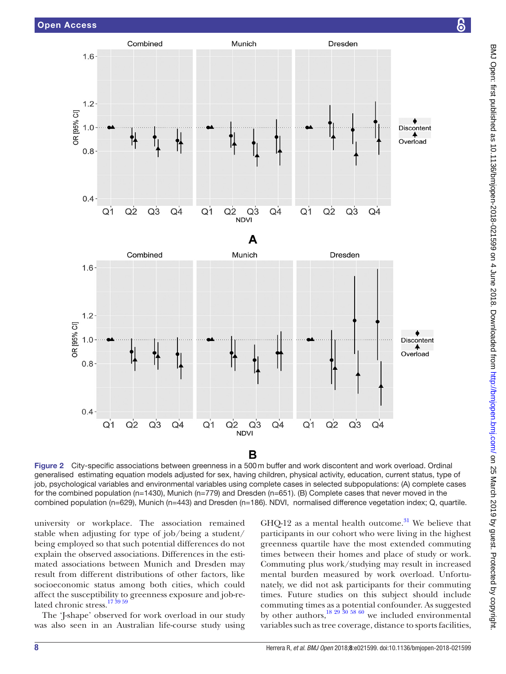

B

<span id="page-7-0"></span>Figure 2 City-specific associations between greenness in a 500m buffer and work discontent and work overload. Ordinal generalised estimating equation models adjusted for sex, having children, physical activity, education, current status, type of job, psychological variables and environmental variables using complete cases in selected subpopulations: (A) complete cases for the combined population (n=1430), Munich (n=779) and Dresden (n=651). (B) Complete cases that never moved in the combined population (n=629), Munich (n=443) and Dresden (n=186). NDVI, normalised difference vegetation index; Q, quartile.

university or workplace. The association remained stable when adjusting for type of job/being a student/ being employed so that such potential differences do not explain the observed associations. Differences in the estimated associations between Munich and Dresden may result from different distributions of other factors, like socioeconomic status among both cities, which could affect the susceptibility to greenness exposure and job-related chronic stress.<sup>17 39 59</sup>

The 'J-shape' observed for work overload in our study was also seen in an Australian life-course study using

 $GHQ-12$  as a mental health outcome.<sup>31</sup> We believe that participants in our cohort who were living in the highest greenness quartile have the most extended commuting times between their homes and place of study or work. Commuting plus work/studying may result in increased mental burden measured by work overload. Unfortunately, we did not ask participants for their commuting times. Future studies on this subject should include commuting times as a potential confounder. As suggested by other authors,  $^{18}$   $^{29}$   $^{30}$   $^{58}$   $^{60}$  we included environmental variables such as tree coverage, distance to sports facilities,

8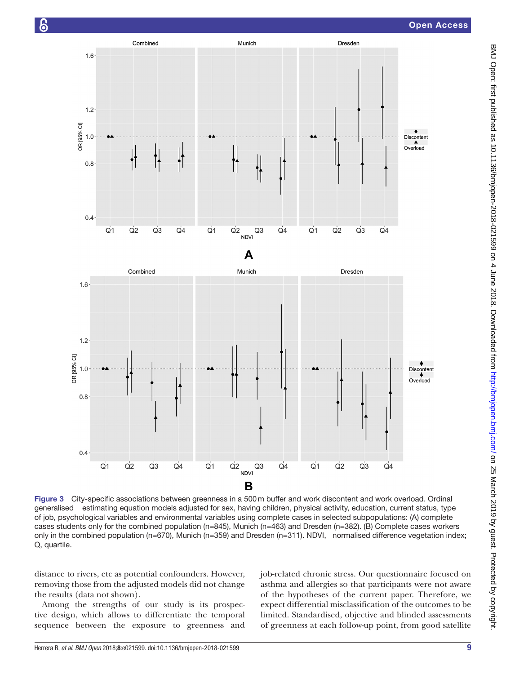

<span id="page-8-0"></span>Figure 3 City-specific associations between greenness in a 500m buffer and work discontent and work overload. Ordinal generalised estimating equation models adjusted for sex, having children, physical activity, education, current status, type of job, psychological variables and environmental variables using complete cases in selected subpopulations: (A) complete cases students only for the combined population (n=845), Munich (n=463) and Dresden (n=382). (B) Complete cases workers only in the combined population (n=670), Munich (n=359) and Dresden (n=311). NDVI, normalised difference vegetation index; Q, quartile.

distance to rivers, etc as potential confounders. However, removing those from the adjusted models did not change the results (data not shown).

Among the strengths of our study is its prospective design, which allows to differentiate the temporal sequence between the exposure to greenness and job-related chronic stress. Our questionnaire focused on asthma and allergies so that participants were not aware of the hypotheses of the current paper. Therefore, we expect differential misclassification of the outcomes to be limited. Standardised, objective and blinded assessments of greenness at each follow-up point, from good satellite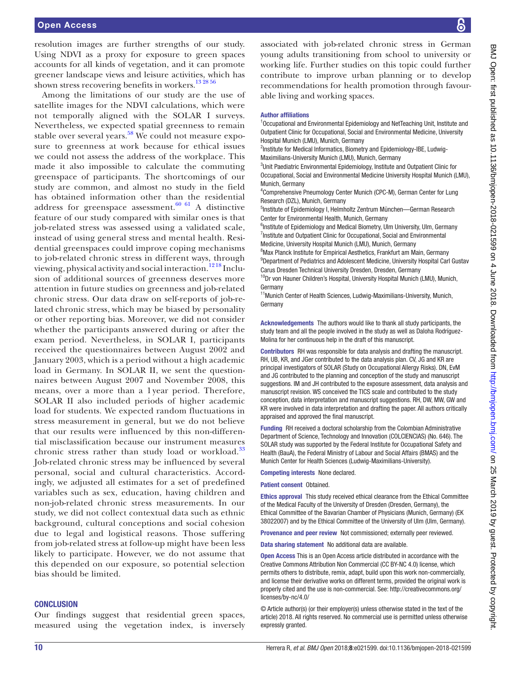resolution images are further strengths of our study. Using NDVI as a proxy for exposure to green spaces accounts for all kinds of vegetation, and it can promote greener landscape views and leisure activities, which has shown stress recovering benefits in workers.<sup>13 28 56</sup>

Among the limitations of our study are the use of satellite images for the NDVI calculations, which were not temporally aligned with the SOLAR I surveys. Nevertheless, we expected spatial greenness to remain stable over several years.<sup>[58](#page-11-0)</sup> We could not measure exposure to greenness at work because for ethical issues we could not assess the address of the workplace. This made it also impossible to calculate the commuting greenspace of participants. The shortcomings of our study are common, and almost no study in the field has obtained information other than the residential address for greenspace assessment. $60\,61\,$  A distinctive feature of our study compared with similar ones is that job-related stress was assessed using a validated scale, instead of using general stress and mental health. Residential greenspaces could improve coping mechanisms to job-related chronic stress in different ways, through viewing, physical activity and social interaction.<sup>1218</sup> Inclusion of additional sources of greenness deserves more attention in future studies on greenness and job-related chronic stress. Our data draw on self-reports of job-related chronic stress, which may be biased by personality or other reporting bias. Moreover, we did not consider whether the participants answered during or after the exam period. Nevertheless, in SOLAR I, participants received the questionnaires between August 2002 and January 2003, which is a period without a high academic load in Germany. In SOLAR II, we sent the questionnaires between August 2007 and November 2008, this means, over a more than a 1 year period. Therefore, SOLAR II also included periods of higher academic load for students. We expected random fluctuations in stress measurement in general, but we do not believe that our results were influenced by this non-differential misclassification because our instrument measures chronic stress rather than study load or workload.<sup>[33](#page-10-17)</sup> Job-related chronic stress may be influenced by several personal, social and cultural characteristics. Accordingly, we adjusted all estimates for a set of predefined variables such as sex, education, having children and non-job-related chronic stress measurements. In our study, we did not collect contextual data such as ethnic background, cultural conceptions and social cohesion due to legal and logistical reasons. Those suffering from job-related stress at follow-up might have been less likely to participate. However, we do not assume that this depended on our exposure, so potential selection bias should be limited.

# **CONCLUSION**

Our findings suggest that residential green spaces, measured using the vegetation index, is inversely

associated with job-related chronic stress in German young adults transitioning from school to university or working life. Further studies on this topic could further contribute to improve urban planning or to develop recommendations for health promotion through favourable living and working spaces.

#### Author affiliations

<sup>1</sup>Occupational and Environmental Epidemiology and NetTeaching Unit, Institute and Outpatient Clinic for Occupational, Social and Environmental Medicine, University Hospital Munich (LMU), Munich, Germany

<sup>2</sup>Institute for Medical Informatics, Biometry and Epidemiology-IBE, Ludwig-Maximilians-University Munich (LMU), Munich, Germany

<sup>3</sup>Unit Paediatric Environmental Epidemiology, Institute and Outpatient Clinic for Occupational, Social and Environmental Medicine University Hospital Munich (LMU), Munich, Germany

4 Comprehensive Pneumology Center Munich (CPC-M), German Center for Lung Research (DZL), Munich, Germany

5 Institute of Epidemiology I, Helmholtz Zentrum München—German Research Center for Environmental Health, Munich, Germany

<sup>6</sup>Institute of Epidemiology and Medical Biometry, Ulm University, Ulm, Germany <sup>7</sup> Institute and Outpatient Clinic for Occupational, Social and Environmental Medicine, University Hospital Munich (LMU), Munich, Germany

<sup>8</sup>Max Planck Institute for Empirical Aesthetics, Frankfurt am Main, Germany <sup>9</sup>Department of Pediatrics and Adolescent Medicine, University Hospital Carl Gustav Carus Dresden Technical University Dresden, Dresden, Germany

<sup>10</sup>Dr von Hauner Children's Hospital, University Hospital Munich (LMU), Munich, **Germany** 

<sup>11</sup> Munich Center of Health Sciences, Ludwig-Maximilians-University, Munich, Germany

Acknowledgements The authors would like to thank all study participants, the study team and all the people involved in the study as well as Daloha Rodríguez-Molina for her continuous help in the draft of this manuscript.

Contributors RH was responsible for data analysis and drafting the manuscript. RH, UB, KR, and JGer contributed to the data analysis plan. CV, JG and KR are principal investigators of SOLAR (Study on Occupational Allergy Risks). DN, EvM and JG contributed to the planning and conception of the study and manuscript suggestions. IM and JH contributed to the exposure assessment, data analysis and manuscript revision. WS conceived the TICS scale and contributed to the study conception, data interpretation and manuscript suggestions. RH, DW, MW, GW and KR were involved in data interpretation and drafting the paper. All authors critically appraised and approved the final manuscript.

Funding RH received a doctoral scholarship from the Colombian Administrative Department of Science, Technology and Innovation (COLCIENCIAS) (No. 646). The SOLAR study was supported by the Federal Institute for Occupational Safety and Health (BauA), the Federal Ministry of Labour and Social Affairs (BMAS) and the Munich Center for Health Sciences (Ludwig-Maximilians-University).

Competing interests None declared.

Patient consent Obtained.

Ethics approval This study received ethical clearance from the Ethical Committee of the Medical Faculty of the University of Dresden (Dresden, Germany), the Ethical Committee of the Bavarian Chamber of Physicians (Munich, Germany) (EK 38022007) and by the Ethical Committee of the University of Ulm (Ulm, Germany).

Provenance and peer review Not commissioned; externally peer reviewed.

Data sharing statement No additional data are available.

Open Access This is an Open Access article distributed in accordance with the Creative Commons Attribution Non Commercial (CC BY-NC 4.0) license, which permits others to distribute, remix, adapt, build upon this work non-commercially, and license their derivative works on different terms, provided the original work is properly cited and the use is non-commercial. See: [http://creativecommons.org/](http://creativecommons.org/licenses/by-nc/4.0/) [licenses/by-nc/4.0/](http://creativecommons.org/licenses/by-nc/4.0/)

© Article author(s) (or their employer(s) unless otherwise stated in the text of the article) 2018. All rights reserved. No commercial use is permitted unless otherwise expressly granted.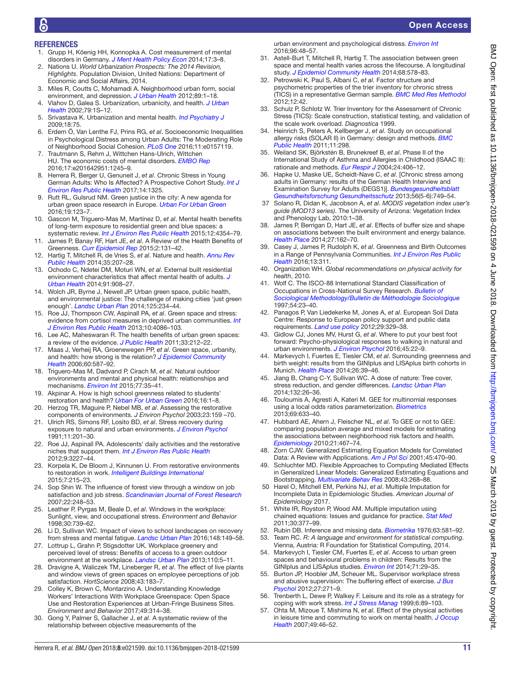### **REFERENCES**

- <span id="page-10-0"></span>1. Grupp H, Köenig HH, Konnopka A. Cost measurement of mental disorders in Germany. *[J Ment Health Policy Econ](http://www.ncbi.nlm.nih.gov/pubmed/24864116)* 2014;17:3–8.
- <span id="page-10-1"></span>2. Nations U. *World Urbanization Prospects: The 2014 Revision, Highlights*. Population Division, United Nations: Department of Economic and Social Affairs, 2014.
- <span id="page-10-2"></span>3. Miles R, Coutts C, Mohamadi A. Neighborhood urban form, social environment, and depression. *[J Urban Health](http://dx.doi.org/10.1007/s11524-011-9621-2)* 2012;89:1–18.
- <span id="page-10-3"></span>4. Vlahov D, Galea S. Urbanization, urbanicity, and health. *[J Urban](http://dx.doi.org/10.1093/jurban/79.suppl_1.S1)  [Health](http://dx.doi.org/10.1093/jurban/79.suppl_1.S1)* 2002;79:1S–12.
- <span id="page-10-4"></span>5. Srivastava K. Urbanization and mental health. *[Ind Psychiatry J](http://dx.doi.org/10.4103/0972-6748.64028)* 2009;18:75.
- <span id="page-10-38"></span>6. Erdem Ö, Van Lenthe FJ, Prins RG, *et al*. Socioeconomic Inequalities in Psychological Distress among Urban Adults: The Moderating Role of Neighborhood Social Cohesion. *[PLoS One](http://dx.doi.org/10.1371/journal.pone.0157119)* 2016;11:e0157119.
- <span id="page-10-5"></span>7. Trautmann S, Rehm J, Wittchen Hans‐Ulrich, Wittchen HU. The economic costs of mental disorders. *[EMBO Rep](http://dx.doi.org/10.15252/embr.201642951)* 2016;17:e201642951:1245–9.
- <span id="page-10-6"></span>8. Herrera R, Berger U, Genuneit J, *et al*. Chronic Stress in Young German Adults: Who Is Affected? A Prospective Cohort Study. *[Int J](http://dx.doi.org/10.3390/ijerph14111325)  [Environ Res Public Health](http://dx.doi.org/10.3390/ijerph14111325)* 2017;14:1325.
- <span id="page-10-7"></span>Rutt RL, Gulsrud NM. Green justice in the city: A new agenda for urban green space research in Europe. *[Urban For Urban Green](http://dx.doi.org/10.1016/j.ufug.2016.07.004)* 2016;19:123–7.
- <span id="page-10-8"></span>10. Gascon M, Triguero-Mas M, Martínez D, *et al*. Mental health benefits of long-term exposure to residential green and blue spaces: a systematic review. *[Int J Environ Res Public Health](http://dx.doi.org/10.3390/ijerph120404354)* 2015;12:4354–79.
- <span id="page-10-27"></span>11. James P, Banay RF, Hart JE, *et al*. A Review of the Health Benefits of Greenness. *[Curr Epidemiol Rep](http://dx.doi.org/10.1007/s40471-015-0043-7)* 2015;2:131–42.
- <span id="page-10-42"></span>12. Hartig T, Mitchell R, de Vries S, *et al*. Nature and health. *[Annu Rev](http://dx.doi.org/10.1146/annurev-publhealth-032013-182443)  [Public Health](http://dx.doi.org/10.1146/annurev-publhealth-032013-182443)* 2014;35:207–28.
- <span id="page-10-41"></span>13. Ochodo C, Ndetei DM, Moturi WN, *et al*. External built residential environment characteristics that affect mental health of adults. *[J](http://dx.doi.org/10.1007/s11524-013-9852-5)  [Urban Health](http://dx.doi.org/10.1007/s11524-013-9852-5)* 2014;91:908–27.
- 14. Wolch JR, Byrne J, Newell JP. Urban green space, public health, and environmental justice: The challenge of making cities 'just green enough'. *[Landsc Urban Plan](http://dx.doi.org/10.1016/j.landurbplan.2014.01.017)* 2014;125:234–44.
- 15. Roe JJ, Thompson CW, Aspinall PA, *et al*. Green space and stress: evidence from cortisol measures in deprived urban communities. *[Int](http://dx.doi.org/10.3390/ijerph10094086)  [J Environ Res Public Health](http://dx.doi.org/10.3390/ijerph10094086)* 2013;10:4086–103.
- <span id="page-10-13"></span>16. Lee AC, Maheswaran R. The health benefits of urban green spaces: a review of the evidence. *[J Public Health](http://dx.doi.org/10.1093/pubmed/fdq068)* 2011;33:212–22.
- <span id="page-10-36"></span>17. Maas J, Verheij RA, Groenewegen PP, *et al*. Green space, urbanity, and health: how strong is the relation? *[J Epidemiol Community](http://dx.doi.org/10.1136/jech.2005.043125)  [Health](http://dx.doi.org/10.1136/jech.2005.043125)* 2006;60:587–92.
- <span id="page-10-39"></span>18. Triguero-Mas M, Dadvand P, Cirach M, *et al*. Natural outdoor environments and mental and physical health: relationships and mechanisms. *[Environ Int](http://dx.doi.org/10.1016/j.envint.2015.01.012)* 2015;77:35–41.
- <span id="page-10-11"></span>19. Akpinar A. How is high school greenness related to students' restoration and health? *[Urban For Urban Green](http://dx.doi.org/10.1016/j.ufug.2016.01.007)* 2016;16:1–8.
- 20. Herzog TR, Maguire P, Nebel MB, *et al*. Assessing the restorative components of environments. *J Environ Psychol* 2003;23:159 –70.
- 21. Ulrich RS, Simons RF, Losito BD, *et al*. Stress recovery during exposure to natural and urban environments. *[J Environ Psychol](http://dx.doi.org/10.1016/S0272-4944(05)80184-7)* 1991;11:201–30.
- <span id="page-10-9"></span>22. Roe JJ, Aspinall PA. Adolescents' daily activities and the restorative niches that support them. *[Int J Environ Res Public Health](http://dx.doi.org/10.3390/ijerph9093227)* 2012;9:3227–44.
- <span id="page-10-10"></span>23. Korpela K, De Bloom J, Kinnunen U. From restorative environments to restoration in work. *[Intelligent Buildings International](http://dx.doi.org/10.1080/17508975.2014.959461)* 2015;7:215–23.
- 24. Sop Shin W. The influence of forest view through a window on job satisfaction and job stress. *[Scandinavian Journal of Forest Research](http://dx.doi.org/10.1080/02827580701262733)* 2007;22:248–53.
- 25. Leather P, Pyrgas M, Beale D, *et al*. Windows in the workplace: Sunlight, view, and occupational stress. *Environment and Behavior* 1998;30:739–62.
- 26. Li D, Sullivan WC. Impact of views to school landscapes on recovery from stress and mental fatigue. *[Landsc Urban Plan](http://dx.doi.org/10.1016/j.landurbplan.2015.12.015)* 2016;148:149–58.
- <span id="page-10-12"></span>27. Lottrup L, Grahn P, Stigsdotter UK. Workplace greenery and perceived level of stress: Benefits of access to a green outdoor environment at the workplace. *[Landsc Urban Plan](http://dx.doi.org/10.1016/j.landurbplan.2012.09.002)* 2013;110:5–11. 28. Dravigne A, Waliczek TM, Lineberger R, *et al*. The effect of live plants
- and window views of green spaces on employee perceptions of job satisfaction. *HortScience* 2008;43:183–7.
- 29. Colley K, Brown C, Montarzino A. Understanding Knowledge Workers' Interactions With Workplace Greenspace: Open Space Use and Restoration Experiences at Urban-Fringe Business Sites. *Environment and Behavior* 2017;49:314–38.
- 30. Gong Y, Palmer S, Gallacher J, *et al*. A systematic review of the relationship between objective measurements of the

urban environment and psychological distress. *[Environ Int](http://dx.doi.org/10.1016/j.envint.2016.08.019)* 2016;96:48–57.

- <span id="page-10-40"></span>31. Astell-Burt T, Mitchell R, Hartig T. The association between green space and mental health varies across the lifecourse. A longitudinal study. *[J Epidemiol Community Health](http://dx.doi.org/10.1136/jech-2013-203767)* 2014;68:578–83.
- <span id="page-10-14"></span>32. Petrowski K, Paul S, Albani C, *et al*. Factor structure and psychometric properties of the trier inventory for chronic stress (TICS) in a representative German sample. *[BMC Med Res Methodol](http://dx.doi.org/10.1186/1471-2288-12-42)* 2012;12:42.
- <span id="page-10-17"></span>33. Schulz P, Schlotz W. Trier Inventory for the Assessment of Chronic Stress (TICS): Scale construction, statistical testing, and validation of the scale work overload. *Diagnostica* 1999.
- <span id="page-10-15"></span>34. Heinrich S, Peters A, Kellberger J, *et al*. Study on occupational allergy risks (SOLAR II) in Germany: design and methods. *[BMC](http://dx.doi.org/10.1186/1471-2458-11-298)  [Public Health](http://dx.doi.org/10.1186/1471-2458-11-298)* 2011;11:298.
- <span id="page-10-16"></span>35. Weiland SK, Björkstén B, Brunekreef B, *et al*. Phase II of the International Study of Asthma and Allergies in Childhood (ISAAC II): rationale and methods. *[Eur Respir J](http://dx.doi.org/10.1183/09031936.04.00090303)* 2004;24:406–12.
- <span id="page-10-18"></span>36. Hapke U, Maske UE, Scheidt-Nave C, *et al*. [Chronic stress among adults in Germany: results of the German Health Interview and Examination Survey for Adults (DEGS1)]. *[Bundesgesundheitsblatt](http://dx.doi.org/10.1007/s00103-013-1690-9)  [Gesundheitsforschung Gesundheitsschutz](http://dx.doi.org/10.1007/s00103-013-1690-9)* 2013;56(5-6):749–54.
- <span id="page-10-19"></span>37 Solano R, Didan K, Jacobson A, *et al*. *MODIS vegetation index user's guide (MOD13 series)*. The University of Arizona: Vegetation Index and Phenology Lab, 2010:1–38.
- <span id="page-10-20"></span>38. James P, Berrigan D, Hart JE, *et al*. Effects of buffer size and shape on associations between the built environment and energy balance. *[Health Place](http://dx.doi.org/10.1016/j.healthplace.2014.02.003)* 2014;27:162–70.
- <span id="page-10-21"></span>39. Casey J, James P, Rudolph K, *et al*. Greenness and Birth Outcomes in a Range of Pennsylvania Communities. *[Int J Environ Res Public](http://dx.doi.org/10.3390/ijerph13030311)  [Health](http://dx.doi.org/10.3390/ijerph13030311)* 2016;13:311.
- <span id="page-10-22"></span>40. Organization WH. *Global recommendations on physical activity for health*, 2010.
- <span id="page-10-23"></span>41. Wolf C. The ISCO-88 International Standard Classification of Occupations in Cross-National Survey Research. *[Bulletin of](http://dx.doi.org/10.1177/075910639705400102)  [Sociological Methodology/Bulletin de Méthodologie Sociologique](http://dx.doi.org/10.1177/075910639705400102)* 1997;54:23–40.
- <span id="page-10-24"></span>42. Panagos P, Van Liedekerke M, Jones A, *et al*. European Soil Data Centre: Response to European policy support and public data requirements. *[Land use policy](http://dx.doi.org/10.1016/j.landusepol.2011.07.003)* 2012;29:329–38.
- <span id="page-10-25"></span>43. Gidlow CJ, Jones MV, Hurst G, *et al*. Where to put your best foot forward: Psycho-physiological responses to walking in natural and urban environments. *[J Environ Psychol](http://dx.doi.org/10.1016/j.jenvp.2015.11.003)* 2016;45:22–9.
- <span id="page-10-26"></span>44. Markevych I, Fuertes E, Tiesler CM, *et al*. Surrounding greenness and birth weight: results from the GINIplus and LISAplus birth cohorts in Munich. *[Health Place](http://dx.doi.org/10.1016/j.healthplace.2013.12.001)* 2014;26:39–46.
- <span id="page-10-28"></span>45. Jiang B, Chang C-Y, Sullivan WC. A dose of nature: Tree cover, stress reduction, and gender differences. *[Landsc Urban Plan](http://dx.doi.org/10.1016/j.landurbplan.2014.08.005)* 2014;132:26–36.
- <span id="page-10-29"></span>46. Touloumis A, Agresti A, Kateri M. GEE for multinomial responses using a local odds ratios parameterization. *[Biometrics](http://dx.doi.org/10.1111/biom.12054)* 2013;69:633–40.
- <span id="page-10-30"></span>47. Hubbard AE, Ahern J, Fleischer NL, *et al*. To GEE or not to GEE: comparing population average and mixed models for estimating the associations between neighborhood risk factors and health. *[Epidemiology](http://dx.doi.org/10.1097/EDE.0b013e3181caeb90)* 2010;21:467–74.
- 48. Zorn CJW. Generalized Estimating Equation Models for Correlated Data: A Review with Applications. *[Am J Pol Sci](http://dx.doi.org/10.2307/2669353)* 2001;45:470–90.
- <span id="page-10-31"></span>49. Schluchter MD. Flexible Approaches to Computing Mediated Effects in Generalized Linear Models: Generalized Estimating Equations and Bootstrapping. *[Multivariate Behav Res](http://dx.doi.org/10.1080/00273170802034877)* 2008;43:268–88.
- <span id="page-10-32"></span>50 Harel O, Mitchell EM, Perkins NJ, *et al*. Multiple Imputation for Incomplete Data in Epidemiologic Studies. *American Journal of Epidemiology* 2017.
- <span id="page-10-33"></span>51. White IR, Royston P, Wood AM. Multiple imputation using chained equations: Issues and guidance for practice. *[Stat Med](http://dx.doi.org/10.1002/sim.4067)* 2011;30:377–99.
- <span id="page-10-34"></span>52. Rubin DB. Inference and missing data. *[Biometrika](http://dx.doi.org/10.1093/biomet/63.3.581)* 1976;63:581–92.
- <span id="page-10-35"></span>53. Team RC. *R: A language and environment for statistical computing*. Vienna, Austria: R Foundation for Statistical Computing, 2014.
- 54. Markevych I, Tiesler CM, Fuertes E, *et al*. Access to urban green spaces and behavioural problems in children: Results from the GINIplus and LISAplus studies. *[Environ Int](http://dx.doi.org/10.1016/j.envint.2014.06.002)* 2014;71:29–35.
- 55. Burton JP, Hoobler JM, Scheuer ML. Supervisor workplace stress and abusive supervision: The buffering effect of exercise. *[J Bus](http://dx.doi.org/10.1007/s10869-011-9255-0)  [Psychol](http://dx.doi.org/10.1007/s10869-011-9255-0)* 2012;27:271–9.
- <span id="page-10-37"></span>56. Trenberth L, Dewe P, Walkey F. Leisure and its role as a strategy for coping with work stress. *[Int J Stress Manag](http://dx.doi.org/10.1023/A:1022928326410)* 1999;6:89–103.
- 57. Ohta M, Mizoue T, Mishima N, *et al*. Effect of the physical activities in leisure time and commuting to work on mental health. *[J Occup](http://dx.doi.org/10.1539/joh.49.46)  [Health](http://dx.doi.org/10.1539/joh.49.46)* 2007;49:46–52.